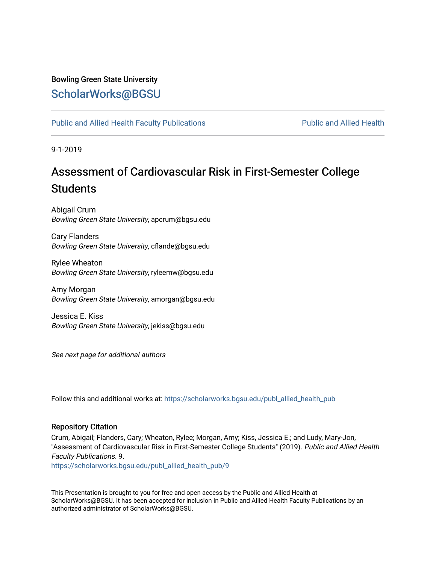# Bowling Green State University

# [ScholarWorks@BGSU](https://scholarworks.bgsu.edu/)

[Public and Allied Health Faculty Publications](https://scholarworks.bgsu.edu/publ_allied_health_pub) **Public and Allied Health** Public and Allied Health

9-1-2019

# Assessment of Cardiovascular Risk in First-Semester College **Students**

Abigail Crum Bowling Green State University, apcrum@bgsu.edu

Cary Flanders Bowling Green State University, cflande@bgsu.edu

Rylee Wheaton Bowling Green State University, ryleemw@bgsu.edu

Amy Morgan Bowling Green State University, amorgan@bgsu.edu

Jessica E. Kiss Bowling Green State University, jekiss@bgsu.edu

See next page for additional authors

Follow this and additional works at: [https://scholarworks.bgsu.edu/publ\\_allied\\_health\\_pub](https://scholarworks.bgsu.edu/publ_allied_health_pub?utm_source=scholarworks.bgsu.edu%2Fpubl_allied_health_pub%2F9&utm_medium=PDF&utm_campaign=PDFCoverPages)

## Repository Citation

Crum, Abigail; Flanders, Cary; Wheaton, Rylee; Morgan, Amy; Kiss, Jessica E.; and Ludy, Mary-Jon, "Assessment of Cardiovascular Risk in First-Semester College Students" (2019). Public and Allied Health Faculty Publications. 9.

[https://scholarworks.bgsu.edu/publ\\_allied\\_health\\_pub/9](https://scholarworks.bgsu.edu/publ_allied_health_pub/9?utm_source=scholarworks.bgsu.edu%2Fpubl_allied_health_pub%2F9&utm_medium=PDF&utm_campaign=PDFCoverPages) 

This Presentation is brought to you for free and open access by the Public and Allied Health at ScholarWorks@BGSU. It has been accepted for inclusion in Public and Allied Health Faculty Publications by an authorized administrator of ScholarWorks@BGSU.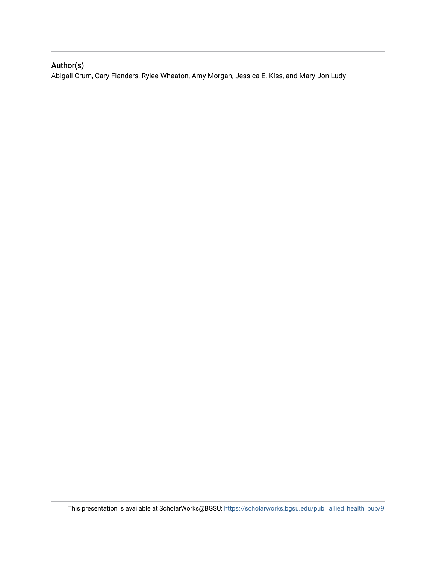## Author(s)

Abigail Crum, Cary Flanders, Rylee Wheaton, Amy Morgan, Jessica E. Kiss, and Mary-Jon Ludy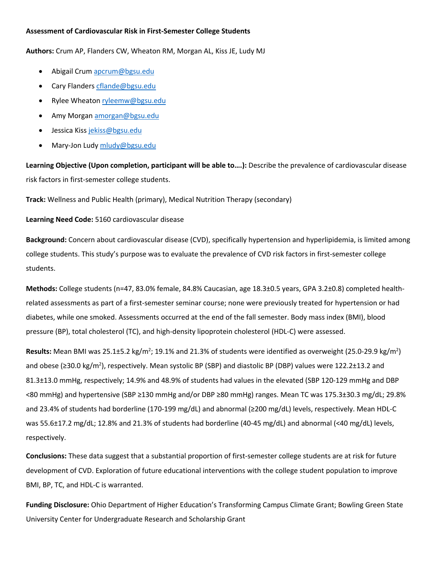## **Assessment of Cardiovascular Risk in First-Semester College Students**

**Authors:** Crum AP, Flanders CW, Wheaton RM, Morgan AL, Kiss JE, Ludy MJ

- Abigail Crum apcrum@bgsu.edu
- Cary Flanders cflande@bgsu.edu
- Rylee Wheaton ryleemw@bgsu.edu
- Amy Morgan amorgan@bgsu.edu
- Jessica Kiss jekiss@bgsu.edu
- Mary-Jon Ludy mludy@bgsu.edu

**Learning Objective (Upon completion, participant will be able to….):** Describe the prevalence of cardiovascular disease risk factors in first-semester college students.

**Track:** Wellness and Public Health (primary), Medical Nutrition Therapy (secondary)

## **Learning Need Code:** 5160 cardiovascular disease

**Background:** Concern about cardiovascular disease (CVD), specifically hypertension and hyperlipidemia, is limited among college students. This study's purpose was to evaluate the prevalence of CVD risk factors in first-semester college students.

**Methods:** College students (n=47, 83.0% female, 84.8% Caucasian, age 18.3±0.5 years, GPA 3.2±0.8) completed healthrelated assessments as part of a first-semester seminar course; none were previously treated for hypertension or had diabetes, while one smoked. Assessments occurred at the end of the fall semester. Body mass index (BMI), blood pressure (BP), total cholesterol (TC), and high-density lipoprotein cholesterol (HDL-C) were assessed.

Results: Mean BMI was 25.1±5.2 kg/m<sup>2</sup>; 19.1% and 21.3% of students were identified as overweight (25.0-29.9 kg/m<sup>2</sup>) and obese (≥30.0 kg/m<sup>2</sup>), respectively. Mean systolic BP (SBP) and diastolic BP (DBP) values were 122.2±13.2 and 81.3±13.0 mmHg, respectively; 14.9% and 48.9% of students had values in the elevated (SBP 120-129 mmHg and DBP <80 mmHg) and hypertensive (SBP ≥130 mmHg and/or DBP ≥80 mmHg) ranges. Mean TC was 175.3±30.3 mg/dL; 29.8% and 23.4% of students had borderline (170-199 mg/dL) and abnormal (≥200 mg/dL) levels, respectively. Mean HDL-C was 55.6±17.2 mg/dL; 12.8% and 21.3% of students had borderline (40-45 mg/dL) and abnormal (<40 mg/dL) levels, respectively.

**Conclusions:** These data suggest that a substantial proportion of first-semester college students are at risk for future development of CVD. Exploration of future educational interventions with the college student population to improve BMI, BP, TC, and HDL-C is warranted.

**Funding Disclosure:** Ohio Department of Higher Education's Transforming Campus Climate Grant; Bowling Green State University Center for Undergraduate Research and Scholarship Grant